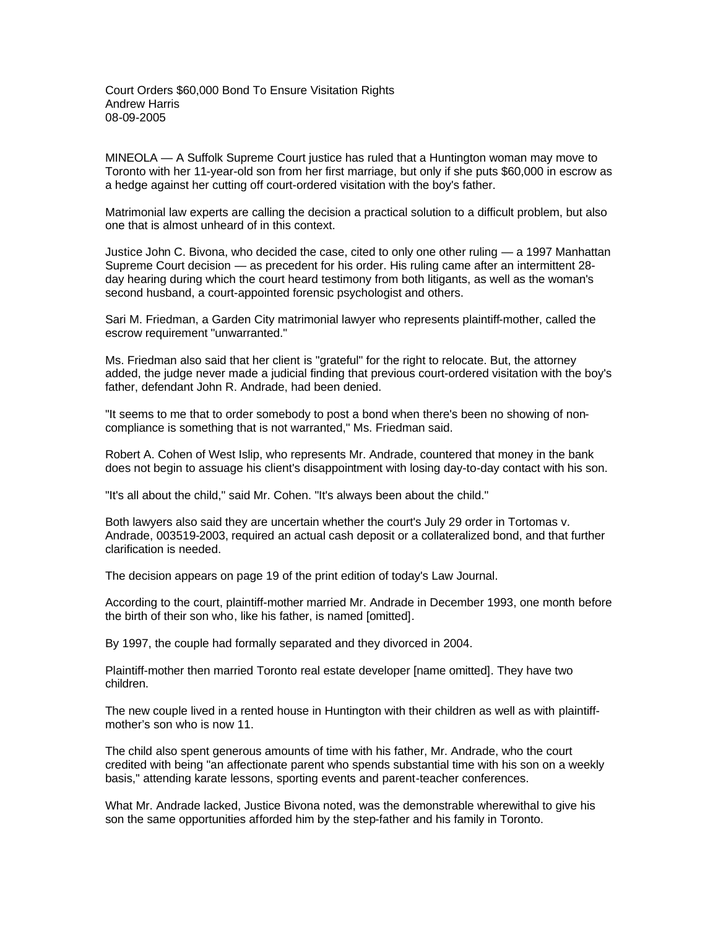Court Orders \$60,000 Bond To Ensure Visitation Rights Andrew Harris 08-09-2005

MINEOLA — A Suffolk Supreme Court justice has ruled that a Huntington woman may move to Toronto with her 11-year-old son from her first marriage, but only if she puts \$60,000 in escrow as a hedge against her cutting off court-ordered visitation with the boy's father.

Matrimonial law experts are calling the decision a practical solution to a difficult problem, but also one that is almost unheard of in this context.

Justice John C. Bivona, who decided the case, cited to only one other ruling — a 1997 Manhattan Supreme Court decision — as precedent for his order. His ruling came after an intermittent 28 day hearing during which the court heard testimony from both litigants, as well as the woman's second husband, a court-appointed forensic psychologist and others.

Sari M. Friedman, a Garden City matrimonial lawyer who represents plaintiff-mother, called the escrow requirement "unwarranted."

Ms. Friedman also said that her client is "grateful" for the right to relocate. But, the attorney added, the judge never made a judicial finding that previous court-ordered visitation with the boy's father, defendant John R. Andrade, had been denied.

"It seems to me that to order somebody to post a bond when there's been no showing of noncompliance is something that is not warranted," Ms. Friedman said.

Robert A. Cohen of West Islip, who represents Mr. Andrade, countered that money in the bank does not begin to assuage his client's disappointment with losing day-to-day contact with his son.

"It's all about the child," said Mr. Cohen. "It's always been about the child."

Both lawyers also said they are uncertain whether the court's July 29 order in Tortomas v. Andrade, 003519-2003, required an actual cash deposit or a collateralized bond, and that further clarification is needed.

The decision appears on page 19 of the print edition of today's Law Journal.

According to the court, plaintiff-mother married Mr. Andrade in December 1993, one month before the birth of their son who, like his father, is named [omitted].

By 1997, the couple had formally separated and they divorced in 2004.

Plaintiff-mother then married Toronto real estate developer [name omitted]. They have two children.

The new couple lived in a rented house in Huntington with their children as well as with plaintiffmother's son who is now 11.

The child also spent generous amounts of time with his father, Mr. Andrade, who the court credited with being "an affectionate parent who spends substantial time with his son on a weekly basis," attending karate lessons, sporting events and parent-teacher conferences.

What Mr. Andrade lacked, Justice Bivona noted, was the demonstrable wherewithal to give his son the same opportunities afforded him by the step-father and his family in Toronto.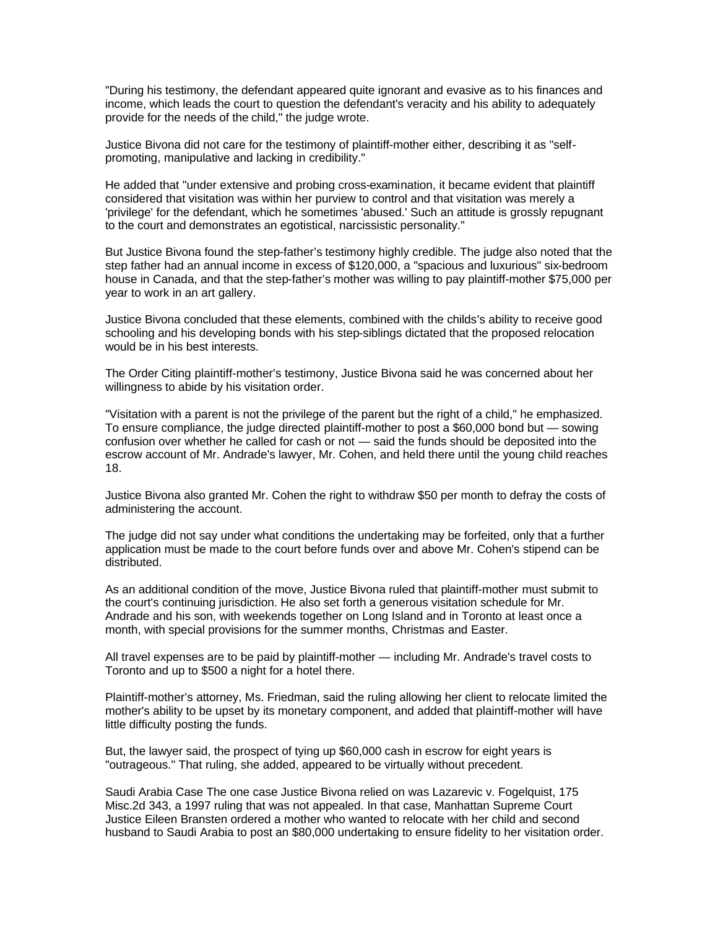"During his testimony, the defendant appeared quite ignorant and evasive as to his finances and income, which leads the court to question the defendant's veracity and his ability to adequately provide for the needs of the child," the judge wrote.

Justice Bivona did not care for the testimony of plaintiff-mother either, describing it as "selfpromoting, manipulative and lacking in credibility."

He added that "under extensive and probing cross-examination, it became evident that plaintiff considered that visitation was within her purview to control and that visitation was merely a 'privilege' for the defendant, which he sometimes 'abused.' Such an attitude is grossly repugnant to the court and demonstrates an egotistical, narcissistic personality."

But Justice Bivona found the step-father's testimony highly credible. The judge also noted that the step father had an annual income in excess of \$120,000, a "spacious and luxurious" six-bedroom house in Canada, and that the step-father's mother was willing to pay plaintiff-mother \$75,000 per year to work in an art gallery.

Justice Bivona concluded that these elements, combined with the childs's ability to receive good schooling and his developing bonds with his step-siblings dictated that the proposed relocation would be in his best interests.

The Order Citing plaintiff-mother's testimony, Justice Bivona said he was concerned about her willingness to abide by his visitation order.

"Visitation with a parent is not the privilege of the parent but the right of a child," he emphasized. To ensure compliance, the judge directed plaintiff-mother to post a \$60,000 bond but — sowing confusion over whether he called for cash or not — said the funds should be deposited into the escrow account of Mr. Andrade's lawyer, Mr. Cohen, and held there until the young child reaches 18.

Justice Bivona also granted Mr. Cohen the right to withdraw \$50 per month to defray the costs of administering the account.

The judge did not say under what conditions the undertaking may be forfeited, only that a further application must be made to the court before funds over and above Mr. Cohen's stipend can be distributed.

As an additional condition of the move, Justice Bivona ruled that plaintiff-mother must submit to the court's continuing jurisdiction. He also set forth a generous visitation schedule for Mr. Andrade and his son, with weekends together on Long Island and in Toronto at least once a month, with special provisions for the summer months, Christmas and Easter.

All travel expenses are to be paid by plaintiff-mother — including Mr. Andrade's travel costs to Toronto and up to \$500 a night for a hotel there.

Plaintiff-mother's attorney, Ms. Friedman, said the ruling allowing her client to relocate limited the mother's ability to be upset by its monetary component, and added that plaintiff-mother will have little difficulty posting the funds.

But, the lawyer said, the prospect of tying up \$60,000 cash in escrow for eight years is "outrageous." That ruling, she added, appeared to be virtually without precedent.

Saudi Arabia Case The one case Justice Bivona relied on was Lazarevic v. Fogelquist, 175 Misc.2d 343, a 1997 ruling that was not appealed. In that case, Manhattan Supreme Court Justice Eileen Bransten ordered a mother who wanted to relocate with her child and second husband to Saudi Arabia to post an \$80,000 undertaking to ensure fidelity to her visitation order.